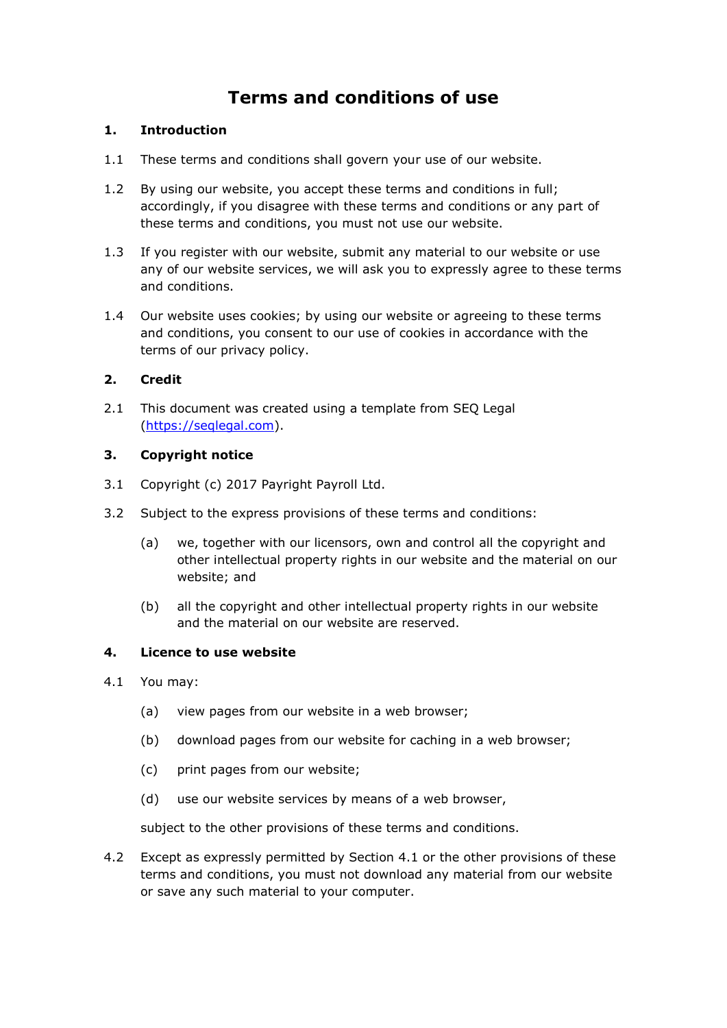# **Terms and conditions of use**

## **1. Introduction**

- 1.1 These terms and conditions shall govern your use of our website.
- 1.2 By using our website, you accept these terms and conditions in full; accordingly, if you disagree with these terms and conditions or any part of these terms and conditions, you must not use our website.
- 1.3 If you register with our website, submit any material to our website or use any of our website services, we will ask you to expressly agree to these terms and conditions.
- 1.4 Our website uses cookies; by using our website or agreeing to these terms and conditions, you consent to our use of cookies in accordance with the terms of our privacy policy.

# **2. Credit**

2.1 This document was created using a template from SEQ Legal [\(https://seqlegal.com\)](https://seqlegal.com/).

## **3. Copyright notice**

- 3.1 Copyright (c) 2017 Payright Payroll Ltd.
- 3.2 Subject to the express provisions of these terms and conditions:
	- (a) we, together with our licensors, own and control all the copyright and other intellectual property rights in our website and the material on our website; and
	- (b) all the copyright and other intellectual property rights in our website and the material on our website are reserved.

## **4. Licence to use website**

- 4.1 You may:
	- (a) view pages from our website in a web browser;
	- (b) download pages from our website for caching in a web browser;
	- (c) print pages from our website;
	- (d) use our website services by means of a web browser,

subject to the other provisions of these terms and conditions.

4.2 Except as expressly permitted by Section 4.1 or the other provisions of these terms and conditions, you must not download any material from our website or save any such material to your computer.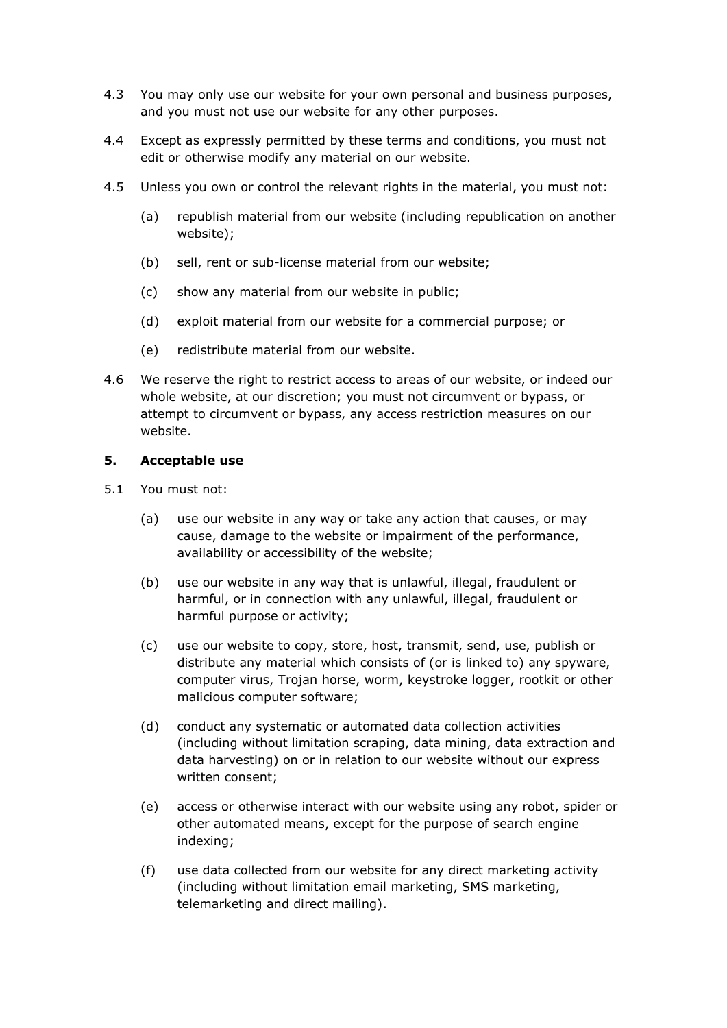- 4.3 You may only use our website for your own personal and business purposes, and you must not use our website for any other purposes.
- 4.4 Except as expressly permitted by these terms and conditions, you must not edit or otherwise modify any material on our website.
- 4.5 Unless you own or control the relevant rights in the material, you must not:
	- (a) republish material from our website (including republication on another website);
	- (b) sell, rent or sub-license material from our website;
	- (c) show any material from our website in public;
	- (d) exploit material from our website for a commercial purpose; or
	- (e) redistribute material from our website.
- 4.6 We reserve the right to restrict access to areas of our website, or indeed our whole website, at our discretion; you must not circumvent or bypass, or attempt to circumvent or bypass, any access restriction measures on our website.

#### **5. Acceptable use**

- 5.1 You must not:
	- (a) use our website in any way or take any action that causes, or may cause, damage to the website or impairment of the performance, availability or accessibility of the website;
	- (b) use our website in any way that is unlawful, illegal, fraudulent or harmful, or in connection with any unlawful, illegal, fraudulent or harmful purpose or activity;
	- (c) use our website to copy, store, host, transmit, send, use, publish or distribute any material which consists of (or is linked to) any spyware, computer virus, Trojan horse, worm, keystroke logger, rootkit or other malicious computer software;
	- (d) conduct any systematic or automated data collection activities (including without limitation scraping, data mining, data extraction and data harvesting) on or in relation to our website without our express written consent;
	- (e) access or otherwise interact with our website using any robot, spider or other automated means, except for the purpose of search engine indexing;
	- (f) use data collected from our website for any direct marketing activity (including without limitation email marketing, SMS marketing, telemarketing and direct mailing).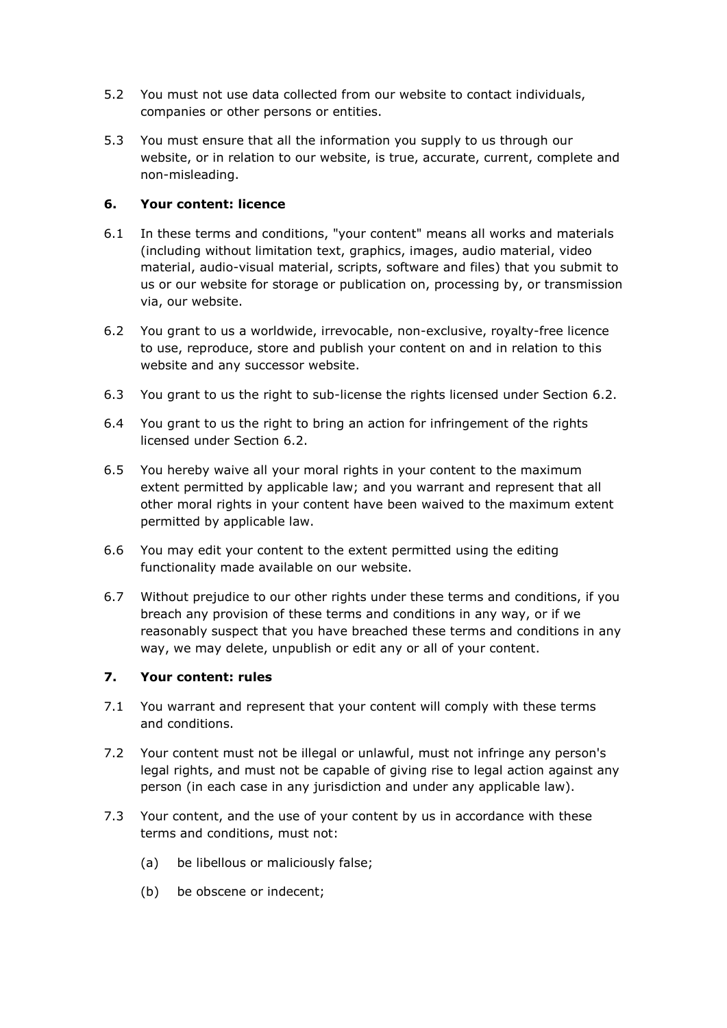- 5.2 You must not use data collected from our website to contact individuals, companies or other persons or entities.
- 5.3 You must ensure that all the information you supply to us through our website, or in relation to our website, is true, accurate, current, complete and non-misleading.

## **6. Your content: licence**

- 6.1 In these terms and conditions, "your content" means all works and materials (including without limitation text, graphics, images, audio material, video material, audio-visual material, scripts, software and files) that you submit to us or our website for storage or publication on, processing by, or transmission via, our website.
- 6.2 You grant to us a worldwide, irrevocable, non-exclusive, royalty-free licence to use, reproduce, store and publish your content on and in relation to this website and any successor website.
- 6.3 You grant to us the right to sub-license the rights licensed under Section 6.2.
- 6.4 You grant to us the right to bring an action for infringement of the rights licensed under Section 6.2.
- 6.5 You hereby waive all your moral rights in your content to the maximum extent permitted by applicable law; and you warrant and represent that all other moral rights in your content have been waived to the maximum extent permitted by applicable law.
- 6.6 You may edit your content to the extent permitted using the editing functionality made available on our website.
- 6.7 Without prejudice to our other rights under these terms and conditions, if you breach any provision of these terms and conditions in any way, or if we reasonably suspect that you have breached these terms and conditions in any way, we may delete, unpublish or edit any or all of your content.

# **7. Your content: rules**

- 7.1 You warrant and represent that your content will comply with these terms and conditions.
- 7.2 Your content must not be illegal or unlawful, must not infringe any person's legal rights, and must not be capable of giving rise to legal action against any person (in each case in any jurisdiction and under any applicable law).
- 7.3 Your content, and the use of your content by us in accordance with these terms and conditions, must not:
	- (a) be libellous or maliciously false;
	- (b) be obscene or indecent;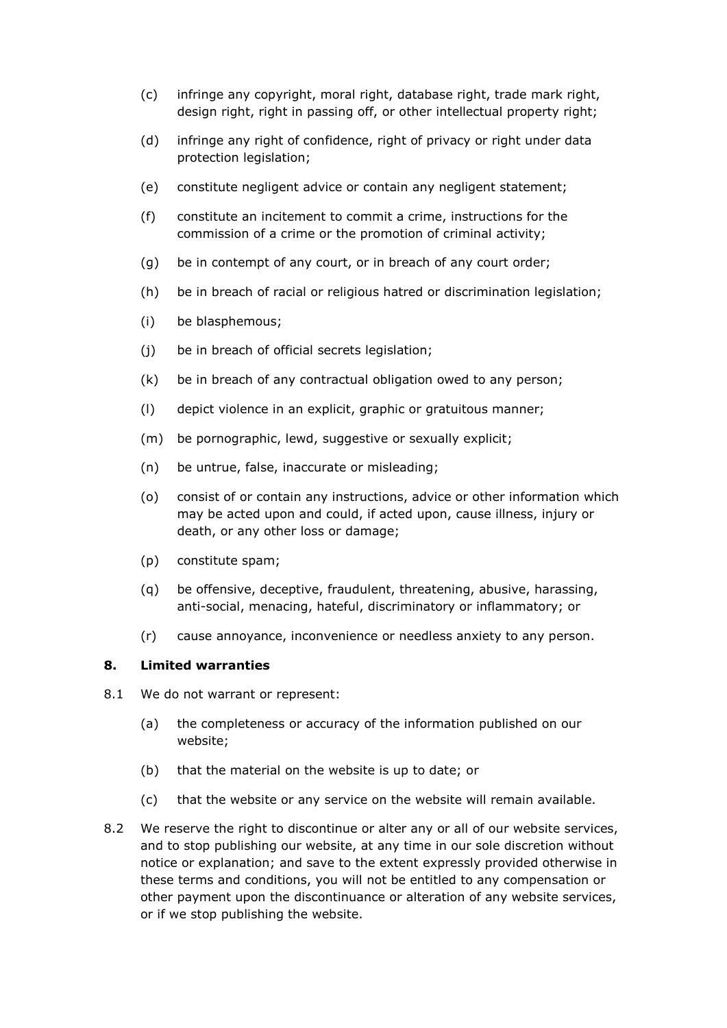- (c) infringe any copyright, moral right, database right, trade mark right, design right, right in passing off, or other intellectual property right;
- (d) infringe any right of confidence, right of privacy or right under data protection legislation;
- (e) constitute negligent advice or contain any negligent statement;
- (f) constitute an incitement to commit a crime, instructions for the commission of a crime or the promotion of criminal activity;
- (g) be in contempt of any court, or in breach of any court order;
- (h) be in breach of racial or religious hatred or discrimination legislation;
- (i) be blasphemous;
- (j) be in breach of official secrets legislation;
- (k) be in breach of any contractual obligation owed to any person;
- (l) depict violence in an explicit, graphic or gratuitous manner;
- (m) be pornographic, lewd, suggestive or sexually explicit;
- (n) be untrue, false, inaccurate or misleading;
- (o) consist of or contain any instructions, advice or other information which may be acted upon and could, if acted upon, cause illness, injury or death, or any other loss or damage;
- (p) constitute spam;
- (q) be offensive, deceptive, fraudulent, threatening, abusive, harassing, anti-social, menacing, hateful, discriminatory or inflammatory; or
- (r) cause annoyance, inconvenience or needless anxiety to any person.

#### **8. Limited warranties**

- 8.1 We do not warrant or represent:
	- (a) the completeness or accuracy of the information published on our website;
	- (b) that the material on the website is up to date; or
	- (c) that the website or any service on the website will remain available.
- 8.2 We reserve the right to discontinue or alter any or all of our website services, and to stop publishing our website, at any time in our sole discretion without notice or explanation; and save to the extent expressly provided otherwise in these terms and conditions, you will not be entitled to any compensation or other payment upon the discontinuance or alteration of any website services, or if we stop publishing the website.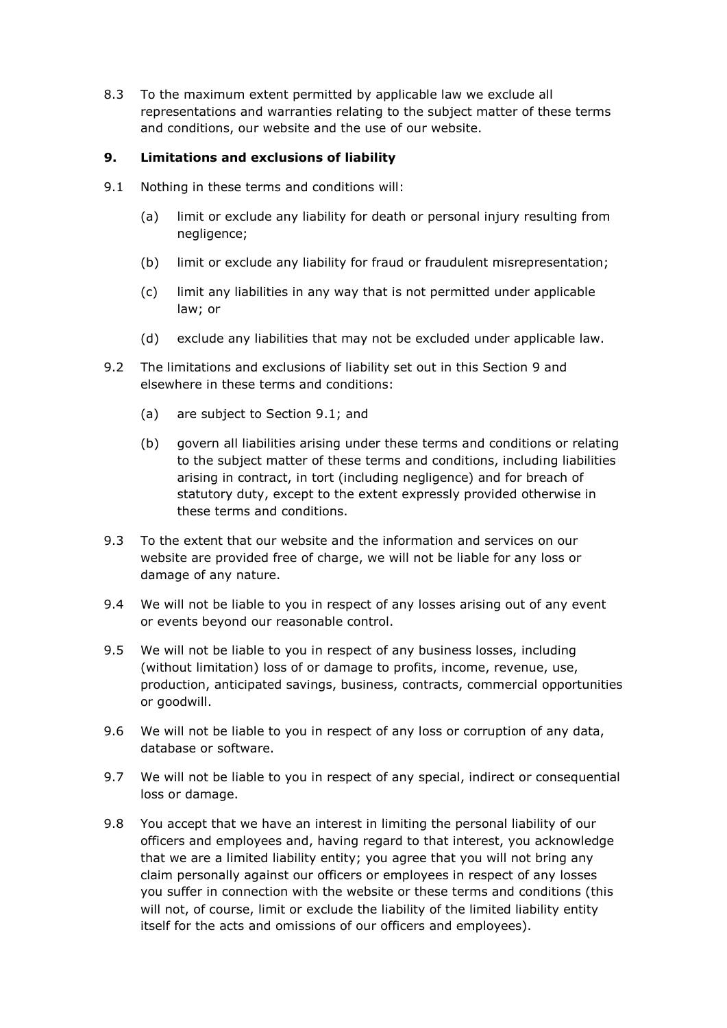8.3 To the maximum extent permitted by applicable law we exclude all representations and warranties relating to the subject matter of these terms and conditions, our website and the use of our website.

#### **9. Limitations and exclusions of liability**

- 9.1 Nothing in these terms and conditions will:
	- (a) limit or exclude any liability for death or personal injury resulting from negligence;
	- (b) limit or exclude any liability for fraud or fraudulent misrepresentation;
	- (c) limit any liabilities in any way that is not permitted under applicable law; or
	- (d) exclude any liabilities that may not be excluded under applicable law.
- 9.2 The limitations and exclusions of liability set out in this Section 9 and elsewhere in these terms and conditions:
	- (a) are subject to Section 9.1; and
	- (b) govern all liabilities arising under these terms and conditions or relating to the subject matter of these terms and conditions, including liabilities arising in contract, in tort (including negligence) and for breach of statutory duty, except to the extent expressly provided otherwise in these terms and conditions.
- 9.3 To the extent that our website and the information and services on our website are provided free of charge, we will not be liable for any loss or damage of any nature.
- 9.4 We will not be liable to you in respect of any losses arising out of any event or events beyond our reasonable control.
- 9.5 We will not be liable to you in respect of any business losses, including (without limitation) loss of or damage to profits, income, revenue, use, production, anticipated savings, business, contracts, commercial opportunities or goodwill.
- 9.6 We will not be liable to you in respect of any loss or corruption of any data, database or software.
- 9.7 We will not be liable to you in respect of any special, indirect or consequential loss or damage.
- 9.8 You accept that we have an interest in limiting the personal liability of our officers and employees and, having regard to that interest, you acknowledge that we are a limited liability entity; you agree that you will not bring any claim personally against our officers or employees in respect of any losses you suffer in connection with the website or these terms and conditions (this will not, of course, limit or exclude the liability of the limited liability entity itself for the acts and omissions of our officers and employees).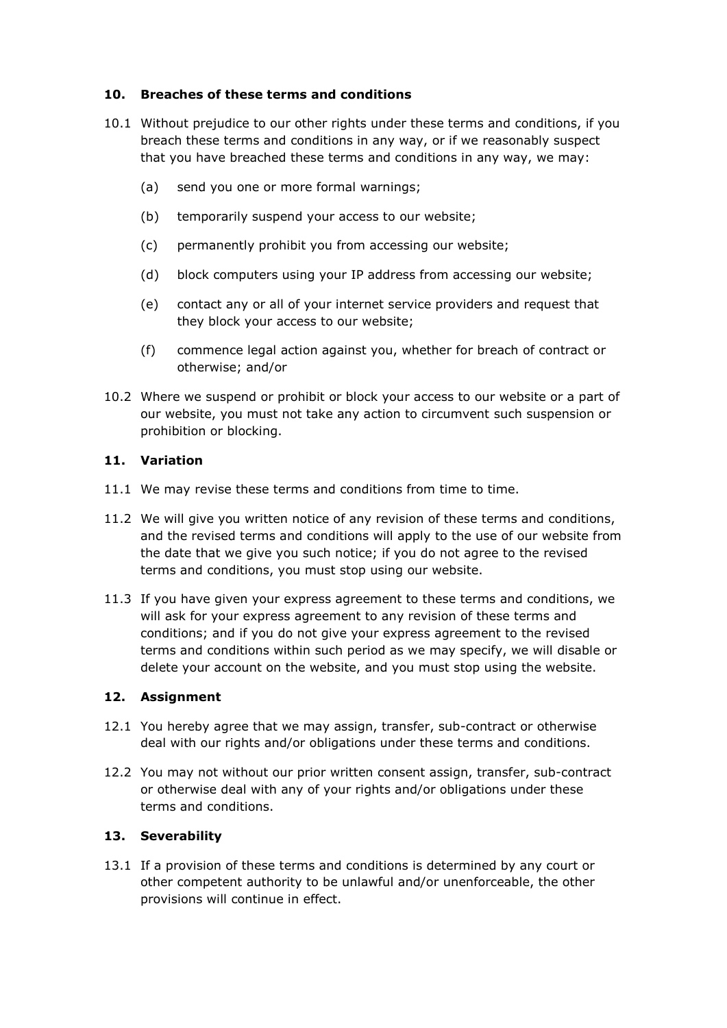## **10. Breaches of these terms and conditions**

- 10.1 Without prejudice to our other rights under these terms and conditions, if you breach these terms and conditions in any way, or if we reasonably suspect that you have breached these terms and conditions in any way, we may:
	- (a) send you one or more formal warnings;
	- (b) temporarily suspend your access to our website;
	- (c) permanently prohibit you from accessing our website;
	- (d) block computers using your IP address from accessing our website;
	- (e) contact any or all of your internet service providers and request that they block your access to our website;
	- (f) commence legal action against you, whether for breach of contract or otherwise; and/or
- 10.2 Where we suspend or prohibit or block your access to our website or a part of our website, you must not take any action to circumvent such suspension or prohibition or blocking.

#### **11. Variation**

- 11.1 We may revise these terms and conditions from time to time.
- 11.2 We will give you written notice of any revision of these terms and conditions, and the revised terms and conditions will apply to the use of our website from the date that we give you such notice; if you do not agree to the revised terms and conditions, you must stop using our website.
- 11.3 If you have given your express agreement to these terms and conditions, we will ask for your express agreement to any revision of these terms and conditions; and if you do not give your express agreement to the revised terms and conditions within such period as we may specify, we will disable or delete your account on the website, and you must stop using the website.

#### **12. Assignment**

- 12.1 You hereby agree that we may assign, transfer, sub-contract or otherwise deal with our rights and/or obligations under these terms and conditions.
- 12.2 You may not without our prior written consent assign, transfer, sub-contract or otherwise deal with any of your rights and/or obligations under these terms and conditions.

#### **13. Severability**

13.1 If a provision of these terms and conditions is determined by any court or other competent authority to be unlawful and/or unenforceable, the other provisions will continue in effect.